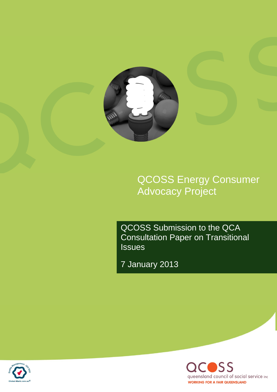

QCOSS Energy Consumer Advocacy Project

QCOSS Submission to the QCA Consultation Paper on Transitional **Issues** 

7 January 2013



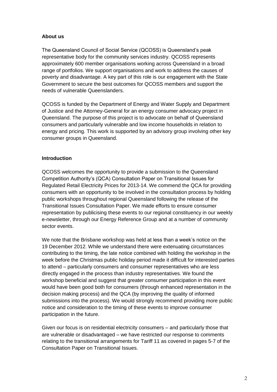### **About us**

The Queensland Council of Social Service (QCOSS) is Queensland's peak representative body for the community services industry. QCOSS represents approximately 600 member organisations working across Queensland in a broad range of portfolios. We support organisations and work to address the causes of poverty and disadvantage. A key part of this role is our engagement with the State Government to secure the best outcomes for QCOSS members and support the needs of vulnerable Queenslanders.

QCOSS is funded by the Department of Energy and Water Supply and Department of Justice and the Attorney-General for an energy consumer advocacy project in Queensland. The purpose of this project is to advocate on behalf of Queensland consumers and particularly vulnerable and low income households in relation to energy and pricing. This work is supported by an advisory group involving other key consumer groups in Queensland.

# **Introduction**

QCOSS welcomes the opportunity to provide a submission to the Queensland Competition Authority's (QCA) Consultation Paper on Transitional Issues for Regulated Retail Electricity Prices for 2013-14. We commend the QCA for providing consumers with an opportunity to be involved in the consultation process by holding public workshops throughout regional Queensland following the release of the Transitional Issues Consultation Paper. We made efforts to ensure consumer representation by publicising these events to our regional constituency in our weekly e-newsletter, through our Energy Reference Group and at a number of community sector events.

We note that the Brisbane workshop was held at less than a week's notice on the 19 December 2012. While we understand there were extenuating circumstances contributing to the timing, the late notice combined with holding the workshop in the week before the Christmas public holiday period made it difficult for interested parties to attend – particularly consumers and consumer representatives who are less directly engaged in the process than industry representatives. We found the workshop beneficial and suggest that greater consumer participation in this event would have been good both for consumers (through enhanced representation in the decision making process) and the QCA (by improving the quality of informed submissions into the process). We would strongly recommend providing more public notice and consideration to the timing of these events to improve consumer participation in the future.

Given our focus is on residential electricity consumers – and particularly those that are vulnerable or disadvantaged – we have restricted our response to comments relating to the transitional arrangements for Tariff 11 as covered in pages 5-7 of the Consultation Paper on Transitional Issues.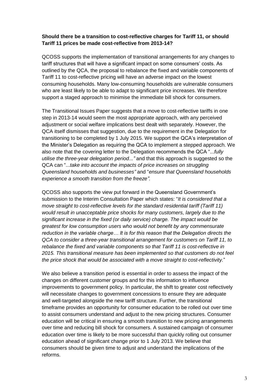### **Should there be a transition to cost-reflective charges for Tariff 11, or should Tariff 11 prices be made cost-reflective from 2013-14?**

QCOSS supports the implementation of transitional arrangements for any changes to tariff structures that will have a significant impact on some consumers' costs. As outlined by the QCA, the proposal to rebalance the fixed and variable components of Tariff 11 to cost-reflective pricing will have an adverse impact on the lowest consuming households. Many low-consuming households are vulnerable consumers who are least likely to be able to adapt to significant price increases. We therefore support a staged approach to minimise the immediate bill shock for consumers.

The Transitional Issues Paper suggests that a move to cost-reflective tariffs in one step in 2013-14 would seem the most appropriate approach, with any perceived adjustment or social welfare implications best dealt with separately. However, the QCA itself dismisses that suggestion, due to the requirement in the Delegation for transitioning to be completed by 1 July 2015. We support the QCA's interpretation of the Minister's Delegation as requiring the QCA to implement a stepped approach. We also note that the covering letter to the Delegation recommends the QCA "...*fully utilise the three-year delegation period..."* and that this approach is suggested so the QCA can "...*take into account the impacts of price increases on struggling Queensland households and businesses"* and "*ensure that Queensland households experience a smooth transition from the freeze".*

QCOSS also supports the view put forward in the Queensland Government's submission to the Interim Consultation Paper which states: "*It is considered that a move straight to cost-reflective levels for the standard residential tariff (Tariff 11) would result in unacceptable price shocks for many customers, largely due to the significant increase in the fixed (or daily service) charge. The impact would be greatest for low consumption users who would not benefit by any commensurate reduction in the variable charge… It is for this reason that the Delegation directs the QCA to consider a three-year transitional arrangement for customers on Tariff 11, to rebalance the fixed and variable components so that Tariff 11 is cost-reflective in 2015. This transitional measure has been implemented so that customers do not feel the price shock that would be associated with a move straight to cost-reflectivity.*"

We also believe a transition period is essential in order to assess the impact of the changes on different customer groups and for this information to influence improvements to government policy. In particular, the shift to greater cost reflectively will necessitate changes to government concessions to ensure they are adequate and well-targeted alongside the new tariff structure. Further, the transitional timeframe provides an opportunity for consumer education to be rolled out over time to assist consumers understand and adjust to the new pricing structures. Consumer education will be critical in ensuring a smooth transition to new pricing arrangements over time and reducing bill shock for consumers. A sustained campaign of consumer education over time is likely to be more successful than quickly rolling out consumer education ahead of significant change prior to 1 July 2013. We believe that consumers should be given time to adjust and understand the implications of the reforms.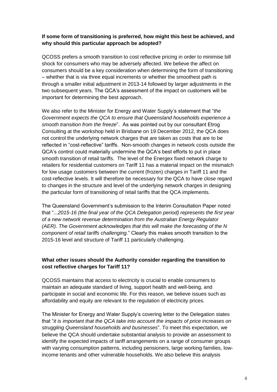# **If some form of transitioning is preferred, how might this best be achieved, and why should this particular approach be adopted?**

QCOSS prefers a smooth transition to cost reflective pricing in order to minimise bill shock for consumers who may be adversely affected. We believe the affect on consumers should be a key consideration when determining the form of transitioning – whether that is via three equal increments or whether the smoothest path is through a smaller initial adjustment in 2013-14 followed by larger adjustments in the two subsequent years. The QCA's assessment of the impact on customers will be important for determining the best approach.

We also refer to the Minister for Energy and Water Supply's statement that "*the Government expects the QCA to ensure that Queensland households experience a smooth transition from the freeze*". As was pointed out by our consultant Etrog Consulting at the workshop held in Brisbane on 19 December 2012, the QCA does not control the underlying network charges that are taken as costs that are to be reflected in "cost-reflective" tariffs. Non-smooth changes in network costs outside the QCA's control could materially undermine the QCA's best efforts to put in place smooth transition of retail tariffs. The level of the Energex fixed network charge to retailers for residential customers on Tariff 11 has a material impact on the mismatch for low usage customers between the current (frozen) charges in Tariff 11 and the cost-reflective levels. It will therefore be necessary for the QCA to have close regard to changes in the structure and level of the underlying network charges in designing the particular form of transitioning of retail tariffs that the QCA implements.

The Queensland Government's submission to the Interim Consultation Paper noted that "...*2015-16 (the final year of the QCA Delegation period) represents the first year of a new network revenue determination from the Australian Energy Regulator (AER). The Government acknowledges that this will make the forecasting of the N component of retail tariffs challenging.*" Clearly this makes smooth transition to the 2015-16 level and structure of Tariff 11 particularly challenging.

# **What other issues should the Authority consider regarding the transition to cost reflective charges for Tariff 11?**

QCOSS maintains that access to electricity is crucial to enable consumers to maintain an adequate standard of living, support health and well-being, and participate in social and economic life. For this reason, we believe issues such as affordability and equity are relevant to the regulation of electricity prices.

The Minister for Energy and Water Supply's covering letter to the Delegation states that "*it is important that the QCA take into account the impacts of price increases on struggling Queensland households and businesses*". To meet this expectation, we believe the QCA should undertake substantial analysis to provide an assessment to identify the expected impacts of tariff arrangements on a range of consumer groups with varying consumption patterns, including pensioners, large working families, lowincome tenants and other vulnerable households. We also believe this analysis